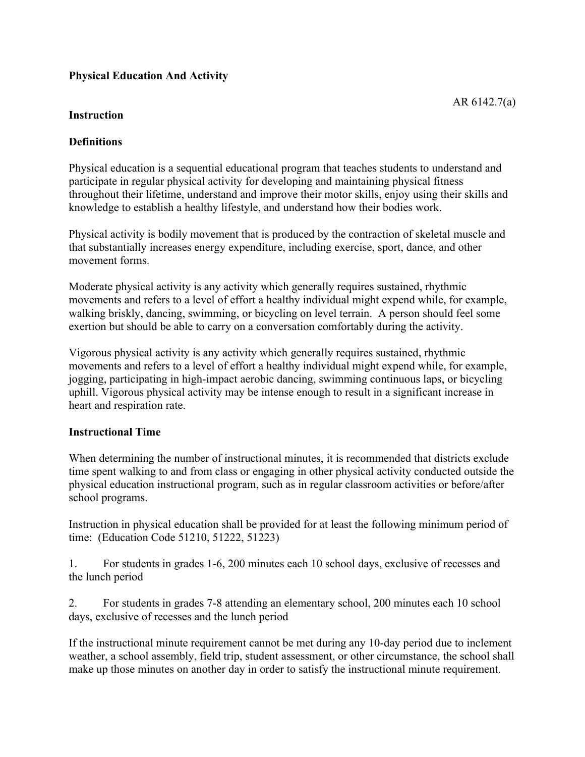# **Physical Education And Activity**

## **Instruction**

## **Definitions**

Physical education is a sequential educational program that teaches students to understand and participate in regular physical activity for developing and maintaining physical fitness throughout their lifetime, understand and improve their motor skills, enjoy using their skills and knowledge to establish a healthy lifestyle, and understand how their bodies work.

Physical activity is bodily movement that is produced by the contraction of skeletal muscle and that substantially increases energy expenditure, including exercise, sport, dance, and other movement forms.

Moderate physical activity is any activity which generally requires sustained, rhythmic movements and refers to a level of effort a healthy individual might expend while, for example, walking briskly, dancing, swimming, or bicycling on level terrain. A person should feel some exertion but should be able to carry on a conversation comfortably during the activity.

Vigorous physical activity is any activity which generally requires sustained, rhythmic movements and refers to a level of effort a healthy individual might expend while, for example, jogging, participating in high-impact aerobic dancing, swimming continuous laps, or bicycling uphill. Vigorous physical activity may be intense enough to result in a significant increase in heart and respiration rate.

#### **Instructional Time**

When determining the number of instructional minutes, it is recommended that districts exclude time spent walking to and from class or engaging in other physical activity conducted outside the physical education instructional program, such as in regular classroom activities or before/after school programs.

Instruction in physical education shall be provided for at least the following minimum period of time: (Education Code 51210, 51222, 51223)

1. For students in grades 1-6, 200 minutes each 10 school days, exclusive of recesses and the lunch period

2. For students in grades 7-8 attending an elementary school, 200 minutes each 10 school days, exclusive of recesses and the lunch period

If the instructional minute requirement cannot be met during any 10-day period due to inclement weather, a school assembly, field trip, student assessment, or other circumstance, the school shall make up those minutes on another day in order to satisfy the instructional minute requirement.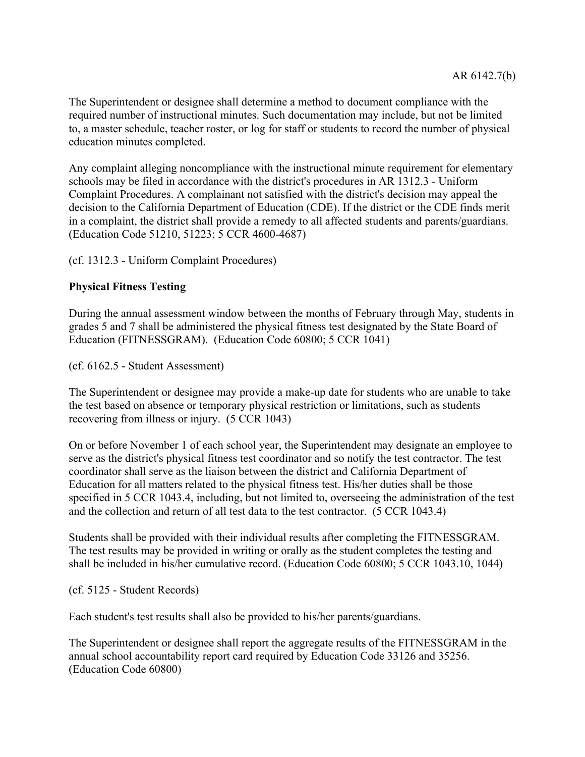The Superintendent or designee shall determine a method to document compliance with the required number of instructional minutes. Such documentation may include, but not be limited to, a master schedule, teacher roster, or log for staff or students to record the number of physical education minutes completed.

Any complaint alleging noncompliance with the instructional minute requirement for elementary schools may be filed in accordance with the district's procedures in AR 1312.3 - Uniform Complaint Procedures. A complainant not satisfied with the district's decision may appeal the decision to the California Department of Education (CDE). If the district or the CDE finds merit in a complaint, the district shall provide a remedy to all affected students and parents/guardians. (Education Code 51210, 51223; 5 CCR 4600-4687)

(cf. 1312.3 - Uniform Complaint Procedures)

# **Physical Fitness Testing**

During the annual assessment window between the months of February through May, students in grades 5 and 7 shall be administered the physical fitness test designated by the State Board of Education (FITNESSGRAM). (Education Code 60800; 5 CCR 1041)

(cf. 6162.5 - Student Assessment)

The Superintendent or designee may provide a make-up date for students who are unable to take the test based on absence or temporary physical restriction or limitations, such as students recovering from illness or injury. (5 CCR 1043)

On or before November 1 of each school year, the Superintendent may designate an employee to serve as the district's physical fitness test coordinator and so notify the test contractor. The test coordinator shall serve as the liaison between the district and California Department of Education for all matters related to the physical fitness test. His/her duties shall be those specified in 5 CCR 1043.4, including, but not limited to, overseeing the administration of the test and the collection and return of all test data to the test contractor. (5 CCR 1043.4)

Students shall be provided with their individual results after completing the FITNESSGRAM. The test results may be provided in writing or orally as the student completes the testing and shall be included in his/her cumulative record. (Education Code 60800; 5 CCR 1043.10, 1044)

(cf. 5125 - Student Records)

Each student's test results shall also be provided to his/her parents/guardians.

The Superintendent or designee shall report the aggregate results of the FITNESSGRAM in the annual school accountability report card required by Education Code 33126 and 35256. (Education Code 60800)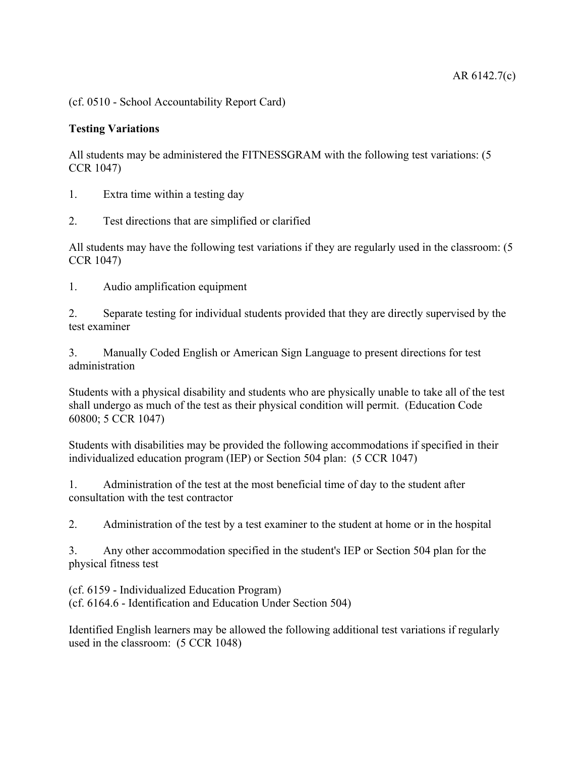(cf. 0510 - School Accountability Report Card)

## **Testing Variations**

All students may be administered the FITNESSGRAM with the following test variations: (5 CCR 1047)

1. Extra time within a testing day

2. Test directions that are simplified or clarified

All students may have the following test variations if they are regularly used in the classroom: (5 CCR 1047)

1. Audio amplification equipment

2. Separate testing for individual students provided that they are directly supervised by the test examiner

3. Manually Coded English or American Sign Language to present directions for test administration

Students with a physical disability and students who are physically unable to take all of the test shall undergo as much of the test as their physical condition will permit. (Education Code 60800; 5 CCR 1047)

Students with disabilities may be provided the following accommodations if specified in their individualized education program (IEP) or Section 504 plan: (5 CCR 1047)

1. Administration of the test at the most beneficial time of day to the student after consultation with the test contractor

2. Administration of the test by a test examiner to the student at home or in the hospital

3. Any other accommodation specified in the student's IEP or Section 504 plan for the physical fitness test

(cf. 6159 - Individualized Education Program) (cf. 6164.6 - Identification and Education Under Section 504)

Identified English learners may be allowed the following additional test variations if regularly used in the classroom: (5 CCR 1048)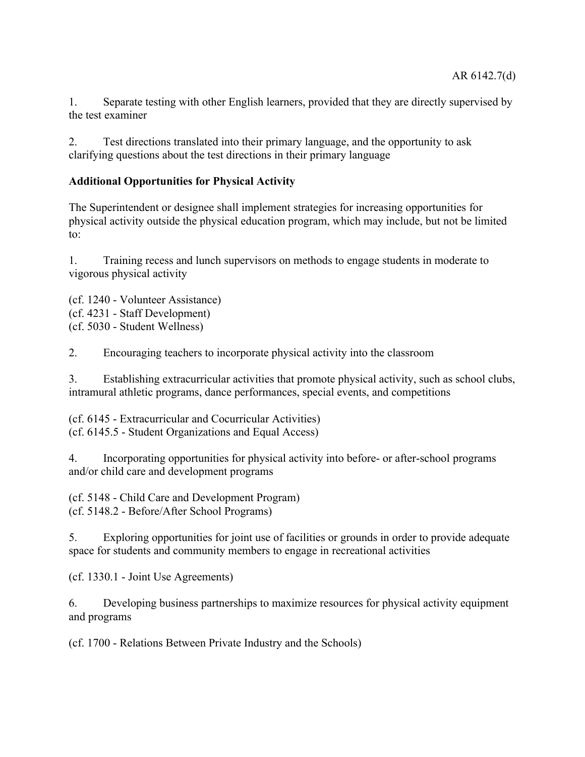1. Separate testing with other English learners, provided that they are directly supervised by the test examiner

2. Test directions translated into their primary language, and the opportunity to ask clarifying questions about the test directions in their primary language

## **Additional Opportunities for Physical Activity**

The Superintendent or designee shall implement strategies for increasing opportunities for physical activity outside the physical education program, which may include, but not be limited to:

1. Training recess and lunch supervisors on methods to engage students in moderate to vigorous physical activity

(cf. 1240 - Volunteer Assistance) (cf. 4231 - Staff Development) (cf. 5030 - Student Wellness)

2. Encouraging teachers to incorporate physical activity into the classroom

3. Establishing extracurricular activities that promote physical activity, such as school clubs, intramural athletic programs, dance performances, special events, and competitions

(cf. 6145 - Extracurricular and Cocurricular Activities) (cf. 6145.5 - Student Organizations and Equal Access)

4. Incorporating opportunities for physical activity into before- or after-school programs and/or child care and development programs

(cf. 5148 - Child Care and Development Program) (cf. 5148.2 - Before/After School Programs)

5. Exploring opportunities for joint use of facilities or grounds in order to provide adequate space for students and community members to engage in recreational activities

(cf. 1330.1 - Joint Use Agreements)

6. Developing business partnerships to maximize resources for physical activity equipment and programs

(cf. 1700 - Relations Between Private Industry and the Schools)